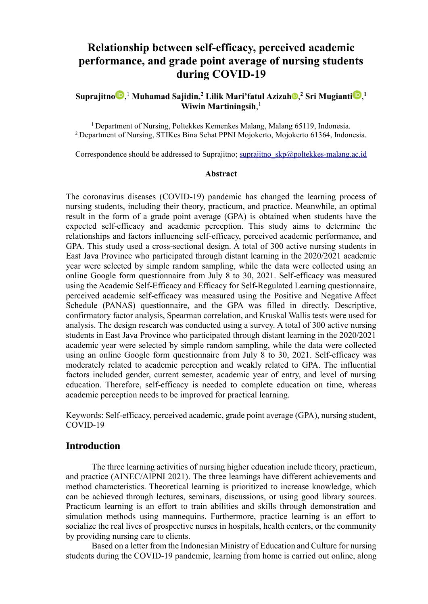# **Relationship between self-efficacy, perceived academic performance, and grade point average of nursing students during COVID-19**

## $\textbf{Suprajitno} \textbf{D},^1\textbf{Mu}$  $\textbf{Suprajitno} \textbf{D},^1\textbf{Mu}$  $\textbf{Suprajitno} \textbf{D},^1\textbf{Mu}$ [h](https://orcid.org/0000-0002-0485-7840)amad Saj[i](https://orcid.org/0000-0002-3833-3615)din, $^2$  Lilik Mari'fatul Azizah $\textbf{D},^2$  Sri Mugianti $\textbf{D},^1\textbf{Du}$ **Wiwin Martiningsih**, 1

<sup>1</sup> Department of Nursing, Poltekkes Kemenkes Malang, Malang 65119, Indonesia. <sup>2</sup>Department of Nursing, STIKes Bina Sehat PPNI Mojokerto, Mojokerto 61364, Indonesia.

Correspondence should be addressed to Suprajitno; suprajitno  $skp@poltekkes-malang.ac.id$ 

#### **Abstract**

The coronavirus diseases (COVID-19) pandemic has changed the learning process of nursing students, including their theory, practicum, and practice. Meanwhile, an optimal result in the form of a grade point average (GPA) is obtained when students have the expected self-efficacy and academic perception. This study aims to determine the relationships and factors influencing self-efficacy, perceived academic performance, and GPA. This study used a cross-sectional design. A total of 300 active nursing students in East Java Province who participated through distant learning in the 2020/2021 academic year were selected by simple random sampling, while the data were collected using an online Google form questionnaire from July 8 to 30, 2021. Self-efficacy was measured using the Academic Self-Efficacy and Efficacy for Self-Regulated Learning questionnaire, perceived academic self-efficacy was measured using the Positive and Negative Affect Schedule (PANAS) questionnaire, and the GPA was filled in directly. Descriptive, confirmatory factor analysis, Spearman correlation, and Kruskal Wallis tests were used for analysis. The design research was conducted using a survey. A total of 300 active nursing students in East Java Province who participated through distant learning in the 2020/2021 academic year were selected by simple random sampling, while the data were collected using an online Google form questionnaire from July 8 to 30, 2021. Self-efficacy was moderately related to academic perception and weakly related to GPA. The influential factors included gender, current semester, academic year of entry, and level of nursing education. Therefore, self-efficacy is needed to complete education on time, whereas academic perception needs to be improved for practical learning.

Keywords: Self-efficacy, perceived academic, grade point average (GPA), nursing student, COVID-19

## **Introduction**

The three learning activities of nursing higher education include theory, practicum, and practice (AINEC/AIPNI 2021). The three learnings have different achievements and method characteristics. Theoretical learning is prioritized to increase knowledge, which can be achieved through lectures, seminars, discussions, or using good library sources. Practicum learning is an effort to train abilities and skills through demonstration and simulation methods using mannequins. Furthermore, practice learning is an effort to socialize the real lives of prospective nurses in hospitals, health centers, or the community by providing nursing care to clients.

Based on a letter from the Indonesian Ministry of Education and Culture for nursing students during the COVID-19 pandemic, learning from home is carried out online, along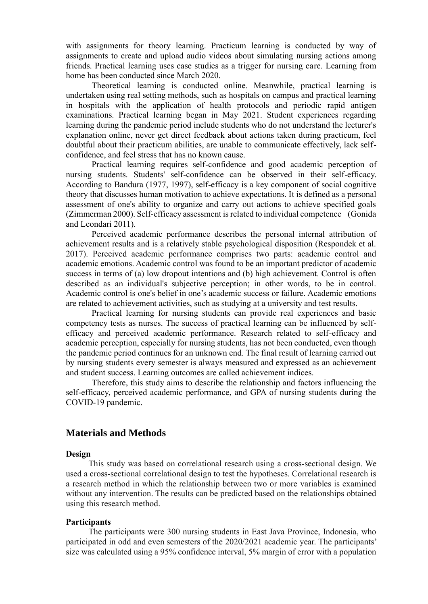with assignments for theory learning. Practicum learning is conducted by way of assignments to create and upload audio videos about simulating nursing actions among friends. Practical learning uses case studies as a trigger for nursing care. Learning from home has been conducted since March 2020.

Theoretical learning is conducted online. Meanwhile, practical learning is undertaken using real setting methods, such as hospitals on campus and practical learning in hospitals with the application of health protocols and periodic rapid antigen examinations. Practical learning began in May 2021. Student experiences regarding learning during the pandemic period include students who do not understand the lecturer's explanation online, never get direct feedback about actions taken during practicum, feel doubtful about their practicum abilities, are unable to communicate effectively, lack selfconfidence, and feel stress that has no known cause.

Practical learning requires self-confidence and good academic perception of nursing students. Students' self-confidence can be observed in their self-efficacy. According to Bandura (1977, 1997), self-efficacy is a key component of social cognitive theory that discusses human motivation to achieve expectations. It is defined as a personal assessment of one's ability to organize and carry out actions to achieve specified goals (Zimmerman 2000). Self-efficacy assessment is related to individual competence (Gonida and Leondari 2011).

Perceived academic performance describes the personal internal attribution of achievement results and is a relatively stable psychological disposition (Respondek et al. 2017). Perceived academic performance comprises two parts: academic control and academic emotions. Academic control was found to be an important predictor of academic success in terms of (a) low dropout intentions and (b) high achievement. Control is often described as an individual's subjective perception; in other words, to be in control. Academic control is one's belief in one's academic success or failure. Academic emotions are related to achievement activities, such as studying at a university and test results.

Practical learning for nursing students can provide real experiences and basic competency tests as nurses. The success of practical learning can be influenced by selfefficacy and perceived academic performance. Research related to self-efficacy and academic perception, especially for nursing students, has not been conducted, even though the pandemic period continues for an unknown end. The final result of learning carried out by nursing students every semester is always measured and expressed as an achievement and student success. Learning outcomes are called achievement indices.

Therefore, this study aims to describe the relationship and factors influencing the self-efficacy, perceived academic performance, and GPA of nursing students during the COVID-19 pandemic.

## **Materials and Methods**

#### **Design**

This study was based on correlational research using a cross-sectional design. We used a cross-sectional correlational design to test the hypotheses. Correlational research is a research method in which the relationship between two or more variables is examined without any intervention. The results can be predicted based on the relationships obtained using this research method.

#### **Participants**

The participants were 300 nursing students in East Java Province, Indonesia, who participated in odd and even semesters of the 2020/2021 academic year. The participants' size was calculated using a 95% confidence interval, 5% margin of error with a population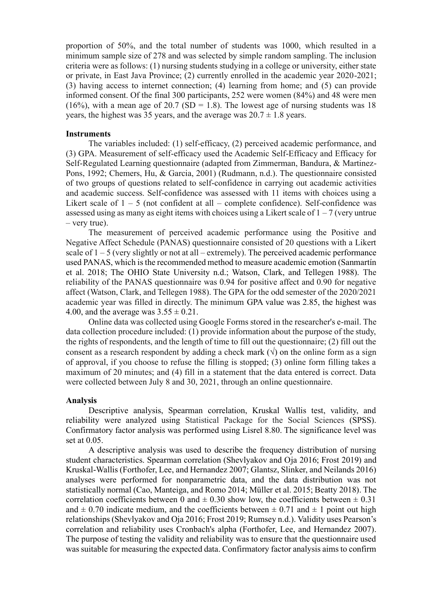proportion of 50%, and the total number of students was 1000, which resulted in a minimum sample size of 278 and was selected by simple random sampling. The inclusion criteria were as follows: (1) nursing students studying in a college or university, either state or private, in East Java Province; (2) currently enrolled in the academic year 2020-2021; (3) having access to internet connection; (4) learning from home; and (5) can provide informed consent. Of the final 300 participants, 252 were women (84%) and 48 were men (16%), with a mean age of 20.7 (SD = 1.8). The lowest age of nursing students was 18 years, the highest was 35 years, and the average was  $20.7 \pm 1.8$  years.

#### **Instruments**

The variables included: (1) self-efficacy, (2) perceived academic performance, and (3) GPA. Measurement of self-efficacy used the Academic Self-Efficacy and Efficacy for Self-Regulated Learning questionnaire (adapted from Zimmerman, Bandura, & Martinez-Pons, 1992; Chemers, Hu, & Garcia, 2001) (Rudmann, n.d.). The questionnaire consisted of two groups of questions related to self-confidence in carrying out academic activities and academic success. Self-confidence was assessed with 11 items with choices using a Likert scale of  $1 - 5$  (not confident at all – complete confidence). Self-confidence was assessed using as many as eight items with choices using a Likert scale of  $1 - 7$  (very untrue – very true).

The measurement of perceived academic performance using the Positive and Negative Affect Schedule (PANAS) questionnaire consisted of 20 questions with a Likert scale of  $1 - 5$  (very slightly or not at all – extremely). The perceived academic performance used PANAS, which is the recommended method to measure academic emotion (Sanmartín et al. 2018; The OHIO State University n.d.; Watson, Clark, and Tellegen 1988). The reliability of the PANAS questionnaire was 0.94 for positive affect and 0.90 for negative affect (Watson, Clark, and Tellegen 1988). The GPA for the odd semester of the 2020/2021 academic year was filled in directly. The minimum GPA value was 2.85, the highest was 4.00, and the average was  $3.55 \pm 0.21$ .

Online data was collected using Google Forms stored in the researcher's e-mail. The data collection procedure included: (1) provide information about the purpose of the study, the rights of respondents, and the length of time to fill out the questionnaire; (2) fill out the consent as a research respondent by adding a check mark  $(\sqrt{)}$  on the online form as a sign of approval, if you choose to refuse the filling is stopped; (3) online form filling takes a maximum of 20 minutes; and (4) fill in a statement that the data entered is correct. Data were collected between July 8 and 30, 2021, through an online questionnaire.

#### **Analysis**

Descriptive analysis, Spearman correlation, Kruskal Wallis test, validity, and reliability were analyzed using Statistical Package for the Social Sciences (SPSS). Confirmatory factor analysis was performed using Lisrel 8.80. The significance level was set at 0.05.

A descriptive analysis was used to describe the frequency distribution of nursing student characteristics. Spearman correlation (Shevlyakov and Oja 2016; Frost 2019) and Kruskal-Wallis (Forthofer, Lee, and Hernandez 2007; Glantsz, Slinker, and Neilands 2016) analyses were performed for nonparametric data, and the data distribution was not statistically normal (Cao, Manteiga, and Romo 2014; Müller et al. 2015; Beatty 2018). The correlation coefficients between 0 and  $\pm$  0.30 show low, the coefficients between  $\pm$  0.31 and  $\pm$  0.70 indicate medium, and the coefficients between  $\pm$  0.71 and  $\pm$  1 point out high relationships (Shevlyakov and Oja 2016; Frost 2019; Rumsey n.d.). Validity uses Pearson's correlation and reliability uses Cronbach's alpha (Forthofer, Lee, and Hernandez 2007). The purpose of testing the validity and reliability was to ensure that the questionnaire used was suitable for measuring the expected data. Confirmatory factor analysis aims to confirm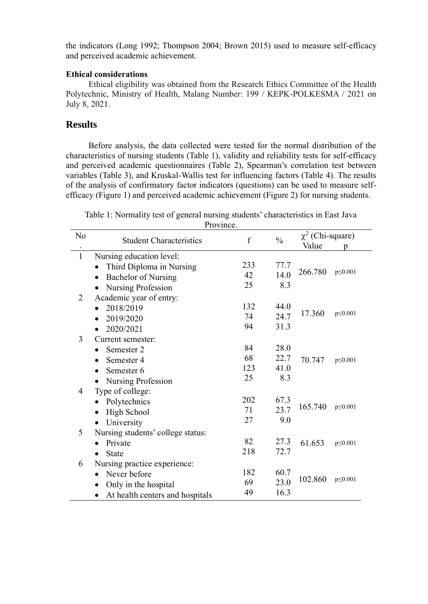the indicators (Long 1992; Thompson 2004; Brown 2015) used to measure self-efficacy and perceived academic achievement.

## **Ethical considerations**

Ethical eligibility was obtained from the Research Ethics Committee of the Health Polytechnic, Ministry of Health, Malang Number: 199 / KEPK-POLKESMA / 2021 on July 8, 2021.

## **Results**

Before analysis, the data collected were tested for the normal distribution of the characteristics of nursing students (Table 1), validity and reliability tests for self-efficacy and perceived academic questionnaires (Table 2), Spearman's correlation test between variables (Table 3), and Kruskal-Wallis test for influencing factors (Table 4). The results of the analysis of confirmatory factor indicators (questions) can be used to measure selfefficacy (Figure 1) and perceived academic achievement (Figure 2) for nursing students.

Table 1: Normality test of general nursing students' characteristics in East Java  $\mathbf{D}_{\text{max}}$ 

|                | PIOVINCE.                         |     |               |                       |               |
|----------------|-----------------------------------|-----|---------------|-----------------------|---------------|
| $\rm No$       | <b>Student Characteristics</b>    | f   | $\frac{0}{0}$ | $\chi^2$ (Chi-square) |               |
|                |                                   |     |               | Value                 | D             |
| $\mathbf{1}$   | Nursing education level:          |     |               |                       |               |
|                | Third Diploma in Nursing          | 233 | 77.7          |                       |               |
|                | <b>Bachelor of Nursing</b>        | 42  | 14.0          | 266.780               | $p \le 0.001$ |
|                | Nursing Profession                | 25  | 8.3           |                       |               |
| $\overline{2}$ | Academic year of entry:           |     |               |                       |               |
|                | 2018/2019                         | 132 | 44.0          |                       |               |
|                | 2019/2020                         | 74  | 24.7          | 17.360                | $p \le 0.001$ |
|                | 2020/2021                         | 94  | 31.3          |                       |               |
| 3              | Current semester:                 |     |               |                       |               |
|                | Semester 2                        | 84  | 28.0          |                       |               |
|                | Semester 4<br>$\bullet$           | 68  | 22.7          | 70.747                | $p \le 0.001$ |
|                | Semester 6<br>$\bullet$           | 123 | 41.0          |                       |               |
|                | Nursing Profession                | 25  | 8.3           |                       |               |
| 4              | Type of college:                  |     |               |                       |               |
|                | Polytechnics                      | 202 | 67.3          |                       |               |
|                | <b>High School</b><br>$\bullet$   | 71  | 23.7          | 165.740               | p<0.001       |
|                | University<br>$\bullet$           | 27  | 9.0           |                       |               |
| 5              | Nursing students' college status: |     |               |                       |               |
|                | Private                           | 82  | 27.3          | 61.653                | $p \le 0.001$ |
|                | <b>State</b>                      | 218 | 72.7          |                       |               |
| 6              | Nursing practice experience:      |     |               |                       |               |
|                | Never before<br>$\bullet$         | 182 | 60.7          |                       |               |
|                | Only in the hospital<br>$\bullet$ | 69  | 23.0          | 102.860               | $p \le 0.001$ |
|                | At health centers and hospitals   | 49  | 16.3          |                       |               |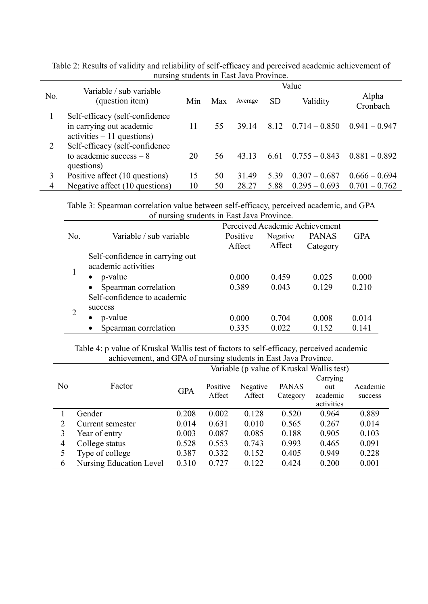|     | $\frac{1}{2}$                              |       |     |         |           |                            |                   |  |
|-----|--------------------------------------------|-------|-----|---------|-----------|----------------------------|-------------------|--|
|     | Variable / sub variable<br>(question item) | Value |     |         |           |                            |                   |  |
| No. |                                            | Min   | Max | Average | <b>SD</b> | Validity                   | Alpha<br>Cronbach |  |
|     | Self-efficacy (self-confidence             |       |     |         |           |                            |                   |  |
|     | in carrying out academic                   | 11    | 55  | 39.14   |           | $8.12 \quad 0.714 - 0.850$ | $0.941 - 0.947$   |  |
|     | $\text{activities} - 11 \text{ questions}$ |       |     |         |           |                            |                   |  |
| 2   | Self-efficacy (self-confidence             |       |     |         |           |                            |                   |  |
|     | to academic success $-8$                   | 20    | 56  | 43.13   | 6.61      | $0.755 - 0.843$            | $0.881 - 0.892$   |  |
|     | questions)                                 |       |     |         |           |                            |                   |  |
| 3   | Positive affect (10 questions)             | 15    | 50  | 31.49   | 5.39      | $0.307 - 0.687$            | $0.666 - 0.694$   |  |
| 4   | Negative affect (10 questions)             | 10    | 50  | 28.27   | 5.88      | $0.295 - 0.693$            | $0.701 - 0.762$   |  |

Table 2: Results of validity and reliability of self-efficacy and perceived academic achievement of nursing students in East Java Province.

Table 3: Spearman correlation value between self-efficacy, perceived academic, and GPA of nursing students in East Java Province.

|     | of hursing students in East Java Frovince. |          |          |              |            |  |  |  |
|-----|--------------------------------------------|----------|----------|--------------|------------|--|--|--|
|     | Perceived Academic Achievement             |          |          |              |            |  |  |  |
| No. | Variable / sub variable                    | Positive | Negative | <b>PANAS</b> | <b>GPA</b> |  |  |  |
|     |                                            | Affect   | Affect   | Category     |            |  |  |  |
|     | Self-confidence in carrying out            |          |          |              |            |  |  |  |
|     | academic activities                        |          |          |              |            |  |  |  |
|     | p-value                                    | 0.000    | 0.459    | 0.025        | 0.000      |  |  |  |
|     | Spearman correlation                       | 0.389    | 0.043    | 0.129        | 0.210      |  |  |  |
|     | Self-confidence to academic                |          |          |              |            |  |  |  |
|     | success                                    |          |          |              |            |  |  |  |
|     | p-value                                    | 0.000    | 0.704    | 0.008        | 0.014      |  |  |  |
|     | Spearman correlation<br>$\bullet$          | 0.335    | 0.022    | 0.152        | 0.141      |  |  |  |

Table 4: p value of Kruskal Wallis test of factors to self-efficacy, perceived academic achievement, and GPA of nursing students in East Java Province.

|                |                                |            |          |          | Variable (p value of Kruskal Wallis test) |            |          |  |
|----------------|--------------------------------|------------|----------|----------|-------------------------------------------|------------|----------|--|
|                |                                |            |          |          |                                           | Carrying   |          |  |
| N <sub>o</sub> | Factor                         | <b>GPA</b> | Positive | Negative | <b>PANAS</b>                              | out        | Academic |  |
|                |                                |            | Affect   | Affect   | Category                                  | academic   | success  |  |
|                |                                |            |          |          |                                           | activities |          |  |
|                | Gender                         | 0.208      | 0.002    | 0.128    | 0.520                                     | 0.964      | 0.889    |  |
| 2              | Current semester               | 0.014      | 0.631    | 0.010    | 0.565                                     | 0.267      | 0.014    |  |
|                | Year of entry                  | 0.003      | 0.087    | 0.085    | 0.188                                     | 0.905      | 0.103    |  |
| 4              | College status                 | 0.528      | 0.553    | 0.743    | 0.993                                     | 0.465      | 0.091    |  |
|                | Type of college                | 0.387      | 0.332    | 0.152    | 0.405                                     | 0.949      | 0.228    |  |
| 6              | <b>Nursing Education Level</b> | 0.310      | 0.727    | 0.122    | 0.424                                     | 0.200      | 0.001    |  |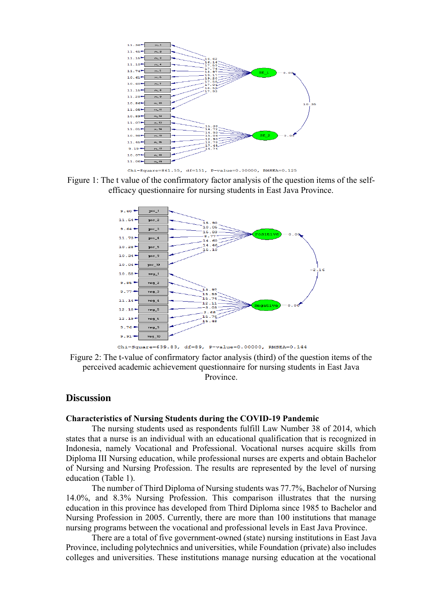

Figure 1: The t value of the confirmatory factor analysis of the question items of the selfefficacy questionnaire for nursing students in East Java Province.



Figure 2: The t-value of confirmatory factor analysis (third) of the question items of the perceived academic achievement questionnaire for nursing students in East Java Province.

## **Discussion**

#### **Characteristics of Nursing Students during the COVID-19 Pandemic**

The nursing students used as respondents fulfill Law Number 38 of 2014, which states that a nurse is an individual with an educational qualification that is recognized in Indonesia, namely Vocational and Professional. Vocational nurses acquire skills from Diploma III Nursing education, while professional nurses are experts and obtain Bachelor of Nursing and Nursing Profession. The results are represented by the level of nursing education (Table 1).

The number of Third Diploma of Nursing students was 77.7%, Bachelor of Nursing 14.0%, and 8.3% Nursing Profession. This comparison illustrates that the nursing education in this province has developed from Third Diploma since 1985 to Bachelor and Nursing Profession in 2005. Currently, there are more than 100 institutions that manage nursing programs between the vocational and professional levels in East Java Province.

There are a total of five government-owned (state) nursing institutions in East Java Province, including polytechnics and universities, while Foundation (private) also includes colleges and universities. These institutions manage nursing education at the vocational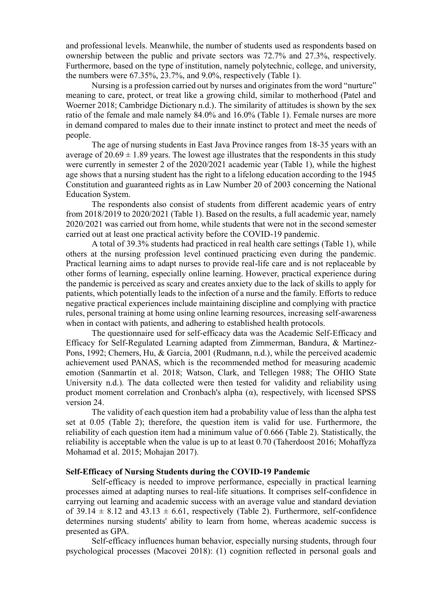and professional levels. Meanwhile, the number of students used as respondents based on ownership between the public and private sectors was 72.7% and 27.3%, respectively. Furthermore, based on the type of institution, namely polytechnic, college, and university, the numbers were 67.35%, 23.7%, and 9.0%, respectively (Table 1).

Nursing is a profession carried out by nurses and originates from the word "nurture" meaning to care, protect, or treat like a growing child, similar to motherhood (Patel and Woerner 2018; Cambridge Dictionary n.d.). The similarity of attitudes is shown by the sex ratio of the female and male namely 84.0% and 16.0% (Table 1). Female nurses are more in demand compared to males due to their innate instinct to protect and meet the needs of people.

The age of nursing students in East Java Province ranges from 18-35 years with an average of  $20.69 \pm 1.89$  years. The lowest age illustrates that the respondents in this study were currently in semester 2 of the 2020/2021 academic year (Table 1), while the highest age shows that a nursing student has the right to a lifelong education according to the 1945 Constitution and guaranteed rights as in Law Number 20 of 2003 concerning the National Education System.

The respondents also consist of students from different academic years of entry from 2018/2019 to 2020/2021 (Table 1). Based on the results, a full academic year, namely 2020/2021 was carried out from home, while students that were not in the second semester carried out at least one practical activity before the COVID-19 pandemic.

A total of 39.3% students had practiced in real health care settings (Table 1), while others at the nursing profession level continued practicing even during the pandemic. Practical learning aims to adapt nurses to provide real-life care and is not replaceable by other forms of learning, especially online learning. However, practical experience during the pandemic is perceived as scary and creates anxiety due to the lack of skills to apply for patients, which potentially leads to the infection of a nurse and the family. Efforts to reduce negative practical experiences include maintaining discipline and complying with practice rules, personal training at home using online learning resources, increasing self-awareness when in contact with patients, and adhering to established health protocols.

The questionnaire used for self-efficacy data was the Academic Self-Efficacy and Efficacy for Self-Regulated Learning adapted from Zimmerman, Bandura, & Martinez-Pons, 1992; Chemers, Hu, & Garcia, 2001 (Rudmann, n.d.), while the perceived academic achievement used PANAS, which is the recommended method for measuring academic emotion (Sanmartín et al. 2018; Watson, Clark, and Tellegen 1988; The OHIO State University n.d.). The data collected were then tested for validity and reliability using product moment correlation and Cronbach's alpha  $(\alpha)$ , respectively, with licensed SPSS version 24.

The validity of each question item had a probability value of less than the alpha test set at 0.05 (Table 2); therefore, the question item is valid for use. Furthermore, the reliability of each question item had a minimum value of 0.666 (Table 2). Statistically, the reliability is acceptable when the value is up to at least 0.70 (Taherdoost 2016; Mohaffyza Mohamad et al. 2015; Mohajan 2017).

### **Self-Efficacy of Nursing Students during the COVID-19 Pandemic**

Self-efficacy is needed to improve performance, especially in practical learning processes aimed at adapting nurses to real-life situations. It comprises self-confidence in carrying out learning and academic success with an average value and standard deviation of 39.14  $\pm$  8.12 and 43.13  $\pm$  6.61, respectively (Table 2). Furthermore, self-confidence determines nursing students' ability to learn from home, whereas academic success is presented as GPA.

Self-efficacy influences human behavior, especially nursing students, through four psychological processes (Macovei 2018): (1) cognition reflected in personal goals and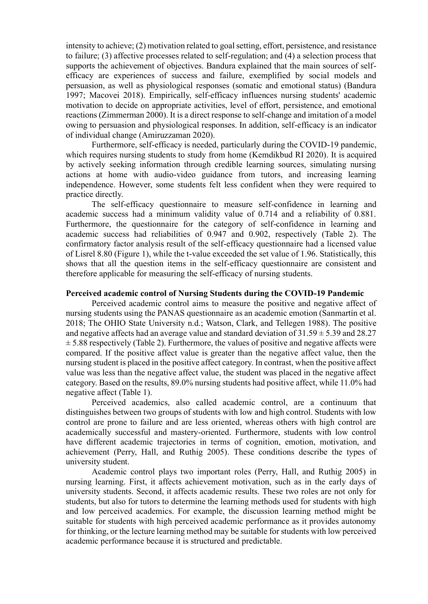intensity to achieve; (2) motivation related to goal setting, effort, persistence, and resistance to failure; (3) affective processes related to self-regulation; and (4) a selection process that supports the achievement of objectives. Bandura explained that the main sources of selfefficacy are experiences of success and failure, exemplified by social models and persuasion, as well as physiological responses (somatic and emotional status) (Bandura 1997; Macovei 2018). Empirically, self-efficacy influences nursing students' academic motivation to decide on appropriate activities, level of effort, persistence, and emotional reactions (Zimmerman 2000). It is a direct response to self-change and imitation of a model owing to persuasion and physiological responses. In addition, self-efficacy is an indicator of individual change (Amiruzzaman 2020).

Furthermore, self-efficacy is needed, particularly during the COVID-19 pandemic, which requires nursing students to study from home (Kemdikbud RI 2020). It is acquired by actively seeking information through credible learning sources, simulating nursing actions at home with audio-video guidance from tutors, and increasing learning independence. However, some students felt less confident when they were required to practice directly.

The self-efficacy questionnaire to measure self-confidence in learning and academic success had a minimum validity value of 0.714 and a reliability of 0.881. Furthermore, the questionnaire for the category of self-confidence in learning and academic success had reliabilities of 0.947 and 0.902, respectively (Table 2). The confirmatory factor analysis result of the self-efficacy questionnaire had a licensed value of Lisrel 8.80 (Figure 1), while the t-value exceeded the set value of 1.96. Statistically, this shows that all the question items in the self-efficacy questionnaire are consistent and therefore applicable for measuring the self-efficacy of nursing students.

#### **Perceived academic control of Nursing Students during the COVID-19 Pandemic**

Perceived academic control aims to measure the positive and negative affect of nursing students using the PANAS questionnaire as an academic emotion (Sanmartín et al. 2018; The OHIO State University n.d.; Watson, Clark, and Tellegen 1988). The positive and negative affects had an average value and standard deviation of  $31.59 \pm 5.39$  and  $28.27$  $\pm$  5.88 respectively (Table 2). Furthermore, the values of positive and negative affects were compared. If the positive affect value is greater than the negative affect value, then the nursing student is placed in the positive affect category. In contrast, when the positive affect value was less than the negative affect value, the student was placed in the negative affect category. Based on the results, 89.0% nursing students had positive affect, while 11.0% had negative affect (Table 1).

Perceived academics, also called academic control, are a continuum that distinguishes between two groups of students with low and high control. Students with low control are prone to failure and are less oriented, whereas others with high control are academically successful and mastery-oriented. Furthermore, students with low control have different academic trajectories in terms of cognition, emotion, motivation, and achievement (Perry, Hall, and Ruthig 2005). These conditions describe the types of university student.

Academic control plays two important roles (Perry, Hall, and Ruthig 2005) in nursing learning. First, it affects achievement motivation, such as in the early days of university students. Second, it affects academic results. These two roles are not only for students, but also for tutors to determine the learning methods used for students with high and low perceived academics. For example, the discussion learning method might be suitable for students with high perceived academic performance as it provides autonomy for thinking, or the lecture learning method may be suitable for students with low perceived academic performance because it is structured and predictable.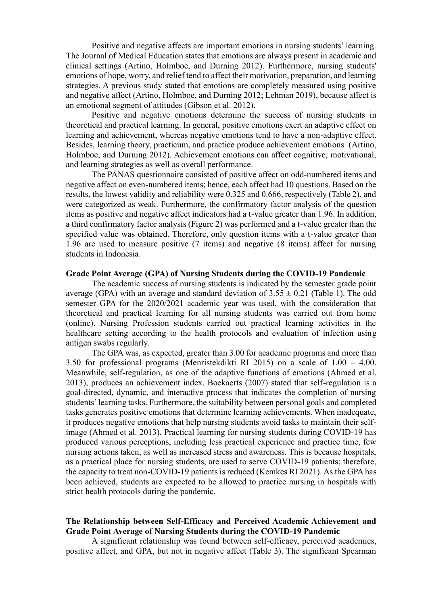Positive and negative affects are important emotions in nursing students' learning. The Journal of Medical Education states that emotions are always present in academic and clinical settings (Artino, Holmboe, and Durning 2012). Furthermore, nursing students' emotions of hope, worry, and relief tend to affect their motivation, preparation, and learning strategies. A previous study stated that emotions are completely measured using positive and negative affect (Artino, Holmboe, and Durning 2012; Lehman 2019), because affect is an emotional segment of attitudes (Gibson et al. 2012).

Positive and negative emotions determine the success of nursing students in theoretical and practical learning. In general, positive emotions exert an adaptive effect on learning and achievement, whereas negative emotions tend to have a non-adaptive effect. Besides, learning theory, practicum, and practice produce achievement emotions (Artino, Holmboe, and Durning 2012). Achievement emotions can affect cognitive, motivational, and learning strategies as well as overall performance.

The PANAS questionnaire consisted of positive affect on odd-numbered items and negative affect on even-numbered items; hence, each affect had 10 questions. Based on the results, the lowest validity and reliability were 0.325 and 0.666, respectively (Table 2), and were categorized as weak. Furthermore, the confirmatory factor analysis of the question items as positive and negative affect indicators had a t-value greater than 1.96. In addition, a third confirmatory factor analysis (Figure 2) was performed and a t-value greater than the specified value was obtained. Therefore, only question items with a t-value greater than 1.96 are used to measure positive (7 items) and negative (8 items) affect for nursing students in Indonesia.

#### **Grade Point Average (GPA) of Nursing Students during the COVID-19 Pandemic**

The academic success of nursing students is indicated by the semester grade point average (GPA) with an average and standard deviation of  $3.55 \pm 0.21$  (Table 1). The odd semester GPA for the 2020/2021 academic year was used, with the consideration that theoretical and practical learning for all nursing students was carried out from home (online). Nursing Profession students carried out practical learning activities in the healthcare setting according to the health protocols and evaluation of infection using antigen swabs regularly.

The GPA was, as expected, greater than 3.00 for academic programs and more than 3.50 for professional programs (Menristekdikti RI 2015) on a scale of 1.00 – 4.00. Meanwhile, self-regulation, as one of the adaptive functions of emotions (Ahmed et al. 2013), produces an achievement index. Boekaerts (2007) stated that self-regulation is a goal-directed, dynamic, and interactive process that indicates the completion of nursing students' learning tasks. Furthermore, the suitability between personal goals and completed tasks generates positive emotions that determine learning achievements. When inadequate, it produces negative emotions that help nursing students avoid tasks to maintain their selfimage (Ahmed et al. 2013). Practical learning for nursing students during COVID-19 has produced various perceptions, including less practical experience and practice time, few nursing actions taken, as well as increased stress and awareness. This is because hospitals, as a practical place for nursing students, are used to serve COVID-19 patients; therefore, the capacity to treat non-COVID-19 patients is reduced (Kemkes RI 2021). As the GPA has been achieved, students are expected to be allowed to practice nursing in hospitals with strict health protocols during the pandemic.

### **The Relationship between Self-Efficacy and Perceived Academic Achievement and Grade Point Average of Nursing Students during the COVID-19 Pandemic**

A significant relationship was found between self-efficacy, perceived academics, positive affect, and GPA, but not in negative affect (Table 3). The significant Spearman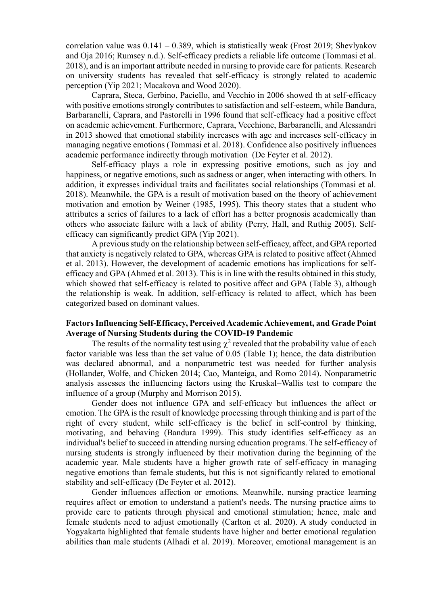correlation value was  $0.141 - 0.389$ , which is statistically weak (Frost 2019; Shevlyakov and Oja 2016; Rumsey n.d.). Self-efficacy predicts a reliable life outcome (Tommasi et al. 2018), and is an important attribute needed in nursing to provide care for patients. Research on university students has revealed that self-efficacy is strongly related to academic perception (Yip 2021; Macakova and Wood 2020).

Caprara, Steca, Gerbino, Paciello, and Vecchio in 2006 showed th at self-efficacy with positive emotions strongly contributes to satisfaction and self-esteem, while Bandura, Barbaranelli, Caprara, and Pastorelli in 1996 found that self-efficacy had a positive effect on academic achievement. Furthermore, Caprara, Vecchione, Barbaranelli, and Alessandri in 2013 showed that emotional stability increases with age and increases self-efficacy in managing negative emotions (Tommasi et al. 2018). Confidence also positively influences academic performance indirectly through motivation (De Feyter et al. 2012).

Self-efficacy plays a role in expressing positive emotions, such as joy and happiness, or negative emotions, such as sadness or anger, when interacting with others. In addition, it expresses individual traits and facilitates social relationships (Tommasi et al. 2018). Meanwhile, the GPA is a result of motivation based on the theory of achievement motivation and emotion by Weiner (1985, 1995). This theory states that a student who attributes a series of failures to a lack of effort has a better prognosis academically than others who associate failure with a lack of ability (Perry, Hall, and Ruthig 2005). Selfefficacy can significantly predict GPA (Yip 2021).

A previous study on the relationship between self-efficacy, affect, and GPA reported that anxiety is negatively related to GPA, whereas GPA is related to positive affect (Ahmed et al. 2013). However, the development of academic emotions has implications for selfefficacy and GPA (Ahmed et al. 2013). This is in line with the results obtained in this study, which showed that self-efficacy is related to positive affect and GPA (Table 3), although the relationship is weak. In addition, self-efficacy is related to affect, which has been categorized based on dominant values.

### **Factors Influencing Self-Efficacy, Perceived Academic Achievement, and Grade Point Average of Nursing Students during the COVID-19 Pandemic**

The results of the normality test using  $\chi^2$  revealed that the probability value of each factor variable was less than the set value of 0.05 (Table 1); hence, the data distribution was declared abnormal, and a nonparametric test was needed for further analysis (Hollander, Wolfe, and Chicken 2014; Cao, Manteiga, and Romo 2014). Nonparametric analysis assesses the influencing factors using the Kruskal–Wallis test to compare the influence of a group (Murphy and Morrison 2015).

Gender does not influence GPA and self-efficacy but influences the affect or emotion. The GPA is the result of knowledge processing through thinking and is part of the right of every student, while self-efficacy is the belief in self-control by thinking, motivating, and behaving (Bandura 1999). This study identifies self-efficacy as an individual's belief to succeed in attending nursing education programs. The self-efficacy of nursing students is strongly influenced by their motivation during the beginning of the academic year. Male students have a higher growth rate of self-efficacy in managing negative emotions than female students, but this is not significantly related to emotional stability and self-efficacy (De Feyter et al. 2012).

Gender influences affection or emotions. Meanwhile, nursing practice learning requires affect or emotion to understand a patient's needs. The nursing practice aims to provide care to patients through physical and emotional stimulation; hence, male and female students need to adjust emotionally (Carlton et al. 2020). A study conducted in Yogyakarta highlighted that female students have higher and better emotional regulation abilities than male students (Alhadi et al. 2019). Moreover, emotional management is an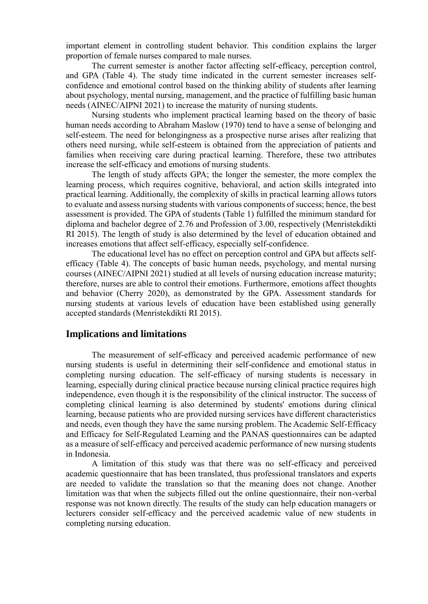important element in controlling student behavior. This condition explains the larger proportion of female nurses compared to male nurses.

The current semester is another factor affecting self-efficacy, perception control, and GPA (Table 4). The study time indicated in the current semester increases selfconfidence and emotional control based on the thinking ability of students after learning about psychology, mental nursing, management, and the practice of fulfilling basic human needs (AINEC/AIPNI 2021) to increase the maturity of nursing students.

Nursing students who implement practical learning based on the theory of basic human needs according to Abraham Maslow (1970) tend to have a sense of belonging and self-esteem. The need for belongingness as a prospective nurse arises after realizing that others need nursing, while self-esteem is obtained from the appreciation of patients and families when receiving care during practical learning. Therefore, these two attributes increase the self-efficacy and emotions of nursing students.

The length of study affects GPA; the longer the semester, the more complex the learning process, which requires cognitive, behavioral, and action skills integrated into practical learning. Additionally, the complexity of skills in practical learning allows tutors to evaluate and assess nursing students with various components of success; hence, the best assessment is provided. The GPA of students (Table 1) fulfilled the minimum standard for diploma and bachelor degree of 2.76 and Profession of 3.00, respectively (Menristekdikti RI 2015). The length of study is also determined by the level of education obtained and increases emotions that affect self-efficacy, especially self-confidence.

The educational level has no effect on perception control and GPA but affects selfefficacy (Table 4). The concepts of basic human needs, psychology, and mental nursing courses (AINEC/AIPNI 2021) studied at all levels of nursing education increase maturity; therefore, nurses are able to control their emotions. Furthermore, emotions affect thoughts and behavior (Cherry 2020), as demonstrated by the GPA. Assessment standards for nursing students at various levels of education have been established using generally accepted standards (Menristekdikti RI 2015).

## **Implications and limitations**

The measurement of self-efficacy and perceived academic performance of new nursing students is useful in determining their self-confidence and emotional status in completing nursing education. The self-efficacy of nursing students is necessary in learning, especially during clinical practice because nursing clinical practice requires high independence, even though it is the responsibility of the clinical instructor. The success of completing clinical learning is also determined by students' emotions during clinical learning, because patients who are provided nursing services have different characteristics and needs, even though they have the same nursing problem. The Academic Self-Efficacy and Efficacy for Self-Regulated Learning and the PANAS questionnaires can be adapted as a measure of self-efficacy and perceived academic performance of new nursing students in Indonesia.

A limitation of this study was that there was no self-efficacy and perceived academic questionnaire that has been translated, thus professional translators and experts are needed to validate the translation so that the meaning does not change. Another limitation was that when the subjects filled out the online questionnaire, their non-verbal response was not known directly. The results of the study can help education managers or lecturers consider self-efficacy and the perceived academic value of new students in completing nursing education.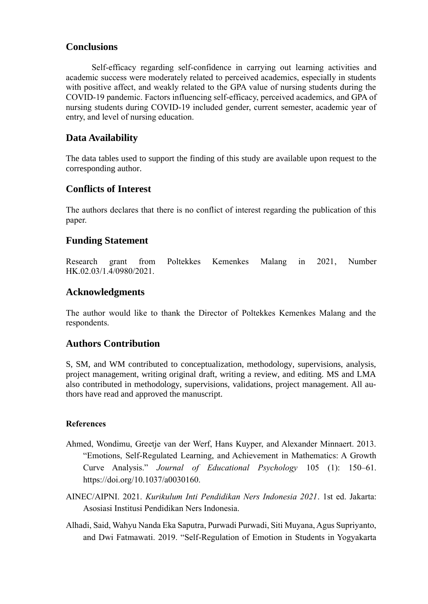## **Conclusions**

Self-efficacy regarding self-confidence in carrying out learning activities and academic success were moderately related to perceived academics, especially in students with positive affect, and weakly related to the GPA value of nursing students during the COVID-19 pandemic. Factors influencing self-efficacy, perceived academics, and GPA of nursing students during COVID-19 included gender, current semester, academic year of entry, and level of nursing education.

## **Data Availability**

The data tables used to support the finding of this study are available upon request to the corresponding author.

## **Conflicts of Interest**

The authors declares that there is no conflict of interest regarding the publication of this paper.

## **Funding Statement**

Research grant from Poltekkes Kemenkes Malang in 2021, Number HK.02.03/1.4/0980/2021.

## **Acknowledgments**

The author would like to thank the Director of Poltekkes Kemenkes Malang and the respondents.

## **Authors Contribution**

S, SM, and WM contributed to conceptualization, methodology, supervisions, analysis, project management, writing original draft, writing a review, and editing. MS and LMA also contributed in methodology, supervisions, validations, project management. All authors have read and approved the manuscript.

## **References**

- Ahmed, Wondimu, Greetje van der Werf, Hans Kuyper, and Alexander Minnaert. 2013. "Emotions, Self-Regulated Learning, and Achievement in Mathematics: A Growth Curve Analysis." *Journal of Educational Psychology* 105 (1): 150–61. https://doi.org/10.1037/a0030160.
- AINEC/AIPNI. 2021. *Kurikulum Inti Pendidikan Ners Indonesia 2021*. 1st ed. Jakarta: Asosiasi Institusi Pendidikan Ners Indonesia.
- Alhadi, Said, Wahyu Nanda Eka Saputra, Purwadi Purwadi, Siti Muyana, Agus Supriyanto, and Dwi Fatmawati. 2019. "Self-Regulation of Emotion in Students in Yogyakarta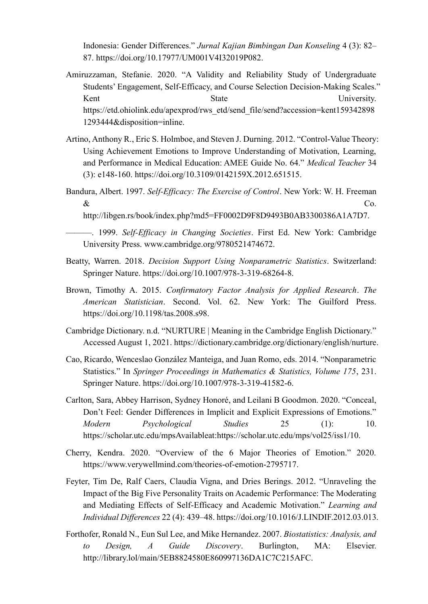Indonesia: Gender Differences." *Jurnal Kajian Bimbingan Dan Konseling* 4 (3): 82– 87. https://doi.org/10.17977/UM001V4I32019P082.

- Amiruzzaman, Stefanie. 2020. "A Validity and Reliability Study of Undergraduate Students' Engagement, Self-Efficacy, and Course Selection Decision-Making Scales." Kent State State University. https://etd.ohiolink.edu/apexprod/rws\_etd/send\_file/send?accession=kent159342898 1293444&disposition=inline.
- Artino, Anthony R., Eric S. Holmboe, and Steven J. Durning. 2012. "Control-Value Theory: Using Achievement Emotions to Improve Understanding of Motivation, Learning, and Performance in Medical Education: AMEE Guide No. 64." *Medical Teacher* 34 (3): e148-160. https://doi.org/10.3109/0142159X.2012.651515.
- Bandura, Albert. 1997. *Self-Efficacy: The Exercise of Control*. New York: W. H. Freeman  $\&$  Co.

http://libgen.rs/book/index.php?md5=FF0002D9F8D9493B0AB3300386A1A7D7.

———. 1999. *Self-Efficacy in Changing Societies*. First Ed. New York: Cambridge University Press. www.cambridge.org/9780521474672.

- Beatty, Warren. 2018. *Decision Support Using Nonparametric Statistics*. Switzerland: Springer Nature. https://doi.org/10.1007/978-3-319-68264-8.
- Brown, Timothy A. 2015. *Confirmatory Factor Analysis for Applied Research*. *The American Statistician*. Second. Vol. 62. New York: The Guilford Press. https://doi.org/10.1198/tas.2008.s98.
- Cambridge Dictionary. n.d. "NURTURE | Meaning in the Cambridge English Dictionary." Accessed August 1, 2021. https://dictionary.cambridge.org/dictionary/english/nurture.
- Cao, Ricardo, Wenceslao González Manteiga, and Juan Romo, eds. 2014. "Nonparametric Statistics." In *Springer Proceedings in Mathematics & Statistics, Volume 175*, 231. Springer Nature. https://doi.org/10.1007/978-3-319-41582-6.
- Carlton, Sara, Abbey Harrison, Sydney Honoré, and Leilani B Goodmon. 2020. "Conceal, Don't Feel: Gender Differences in Implicit and Explicit Expressions of Emotions." *Modern Psychological Studies* 25 (1): 10. https://scholar.utc.edu/mpsAvailableat:https://scholar.utc.edu/mps/vol25/iss1/10.
- Cherry, Kendra. 2020. "Overview of the 6 Major Theories of Emotion." 2020. https://www.verywellmind.com/theories-of-emotion-2795717.
- Feyter, Tim De, Ralf Caers, Claudia Vigna, and Dries Berings. 2012. "Unraveling the Impact of the Big Five Personality Traits on Academic Performance: The Moderating and Mediating Effects of Self-Efficacy and Academic Motivation." *Learning and Individual Differences* 22 (4): 439–48. https://doi.org/10.1016/J.LINDIF.2012.03.013.
- Forthofer, Ronald N., Eun Sul Lee, and Mike Hernandez. 2007. *Biostatistics: Analysis, and to Design, A Guide Discovery*. Burlington, MA: Elsevier. http://library.lol/main/5EB8824580E860997136DA1C7C215AFC.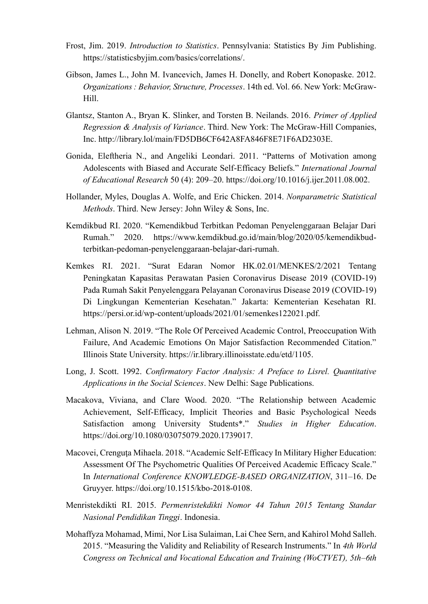- Frost, Jim. 2019. *Introduction to Statistics*. Pennsylvania: Statistics By Jim Publishing. https://statisticsbyjim.com/basics/correlations/.
- Gibson, James L., John M. Ivancevich, James H. Donelly, and Robert Konopaske. 2012. *Organizations : Behavior, Structure, Processes*. 14th ed. Vol. 66. New York: McGraw-Hill.
- Glantsz, Stanton A., Bryan K. Slinker, and Torsten B. Neilands. 2016. *Primer of Applied Regression & Analysis of Variance*. Third. New York: The McGraw-Hill Companies, Inc. http://library.lol/main/FD5DB6CF642A8FA846F8E71F6AD2303E.
- Gonida, Eleftheria N., and Angeliki Leondari. 2011. "Patterns of Motivation among Adolescents with Biased and Accurate Self-Efficacy Beliefs." *International Journal of Educational Research* 50 (4): 209–20. https://doi.org/10.1016/j.ijer.2011.08.002.
- Hollander, Myles, Douglas A. Wolfe, and Eric Chicken. 2014. *Nonparametric Statistical Methods*. Third. New Jersey: John Wiley & Sons, Inc.
- Kemdikbud RI. 2020. "Kemendikbud Terbitkan Pedoman Penyelenggaraan Belajar Dari Rumah." 2020. https://www.kemdikbud.go.id/main/blog/2020/05/kemendikbudterbitkan-pedoman-penyelenggaraan-belajar-dari-rumah.
- Kemkes RI. 2021. "Surat Edaran Nomor HK.02.01/MENKES/2/2021 Tentang Peningkatan Kapasitas Perawatan Pasien Coronavirus Disease 2019 (COVID-19) Pada Rumah Sakit Penyelenggara Pelayanan Coronavirus Disease 2019 (COVID-19) Di Lingkungan Kementerian Kesehatan." Jakarta: Kementerian Kesehatan RI. https://persi.or.id/wp-content/uploads/2021/01/semenkes122021.pdf.
- Lehman, Alison N. 2019. "The Role Of Perceived Academic Control, Preoccupation With Failure, And Academic Emotions On Major Satisfaction Recommended Citation." Illinois State University. https://ir.library.illinoisstate.edu/etd/1105.
- Long, J. Scott. 1992. *Confirmatory Factor Analysis: A Preface to Lisrel. Quantitative Applications in the Social Sciences*. New Delhi: Sage Publications.
- Macakova, Viviana, and Clare Wood. 2020. "The Relationship between Academic Achievement, Self-Efficacy, Implicit Theories and Basic Psychological Needs Satisfaction among University Students\*." *Studies in Higher Education*. https://doi.org/10.1080/03075079.2020.1739017.
- Macovei, Crenguța Mihaela. 2018. "Academic Self-Efficacy In Military Higher Education: Assessment Of The Psychometric Qualities Of Perceived Academic Efficacy Scale." In *International Conference KNOWLEDGE-BASED ORGANIZATION*, 311–16. De Gruyyer. https://doi.org/10.1515/kbo-2018-0108.
- Menristekdikti RI. 2015. *Permenristekdikti Nomor 44 Tahun 2015 Tentang Standar Nasional Pendidikan Tinggi*. Indonesia.
- Mohaffyza Mohamad, Mimi, Nor Lisa Sulaiman, Lai Chee Sern, and Kahirol Mohd Salleh. 2015. "Measuring the Validity and Reliability of Research Instruments." In *4th World Congress on Technical and Vocational Education and Training (WoCTVET), 5th–6th*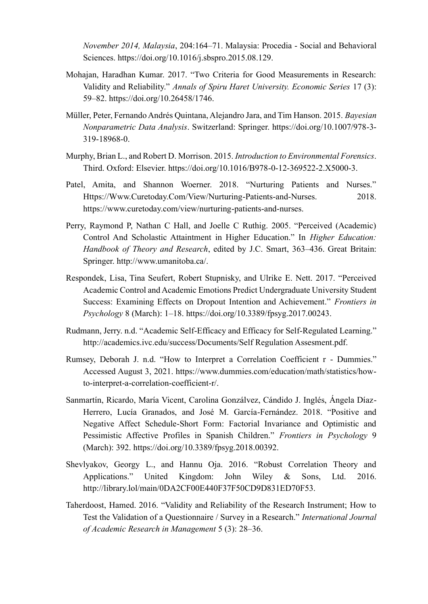*November 2014, Malaysia*, 204:164–71. Malaysia: Procedia - Social and Behavioral Sciences. https://doi.org/10.1016/j.sbspro.2015.08.129.

- Mohajan, Haradhan Kumar. 2017. "Two Criteria for Good Measurements in Research: Validity and Reliability." *Annals of Spiru Haret University. Economic Series* 17 (3): 59–82. https://doi.org/10.26458/1746.
- Müller, Peter, Fernando Andrés Quintana, Alejandro Jara, and Tim Hanson. 2015. *Bayesian Nonparametric Data Analysis*. Switzerland: Springer. https://doi.org/10.1007/978-3- 319-18968-0.
- Murphy, Brian L., and Robert D. Morrison. 2015. *Introduction to Environmental Forensics*. Third. Oxford: Elsevier. https://doi.org/10.1016/B978-0-12-369522-2.X5000-3.
- Patel, Amita, and Shannon Woerner. 2018. "Nurturing Patients and Nurses." Https://Www.Curetoday.Com/View/Nurturing-Patients-and-Nurses. 2018. https://www.curetoday.com/view/nurturing-patients-and-nurses.
- Perry, Raymond P, Nathan C Hall, and Joelle C Ruthig. 2005. "Perceived (Academic) Control And Scholastic Attaintment in Higher Education." In *Higher Education: Handbook of Theory and Research*, edited by J.C. Smart, 363–436. Great Britain: Springer. http://www.umanitoba.ca/.
- Respondek, Lisa, Tina Seufert, Robert Stupnisky, and Ulrike E. Nett. 2017. "Perceived Academic Control and Academic Emotions Predict Undergraduate University Student Success: Examining Effects on Dropout Intention and Achievement." *Frontiers in Psychology* 8 (March): 1–18. https://doi.org/10.3389/fpsyg.2017.00243.
- Rudmann, Jerry. n.d. "Academic Self-Efficacy and Efficacy for Self-Regulated Learning." http://academics.ivc.edu/success/Documents/Self Regulation Assesment.pdf.
- Rumsey, Deborah J. n.d. "How to Interpret a Correlation Coefficient r Dummies." Accessed August 3, 2021. https://www.dummies.com/education/math/statistics/howto-interpret-a-correlation-coefficient-r/.
- Sanmartín, Ricardo, María Vicent, Carolina Gonzálvez, Cándido J. Inglés, Ángela Díaz-Herrero, Lucía Granados, and José M. García-Fernández. 2018. "Positive and Negative Affect Schedule-Short Form: Factorial Invariance and Optimistic and Pessimistic Affective Profiles in Spanish Children." *Frontiers in Psychology* 9 (March): 392. https://doi.org/10.3389/fpsyg.2018.00392.
- Shevlyakov, Georgy L., and Hannu Oja. 2016. "Robust Correlation Theory and Applications." United Kingdom: John Wiley & Sons, Ltd. 2016. http://library.lol/main/0DA2CF00E440F37F50CD9D831ED70F53.
- Taherdoost, Hamed. 2016. "Validity and Reliability of the Research Instrument; How to Test the Validation of a Questionnaire / Survey in a Research." *International Journal of Academic Research in Management* 5 (3): 28–36.